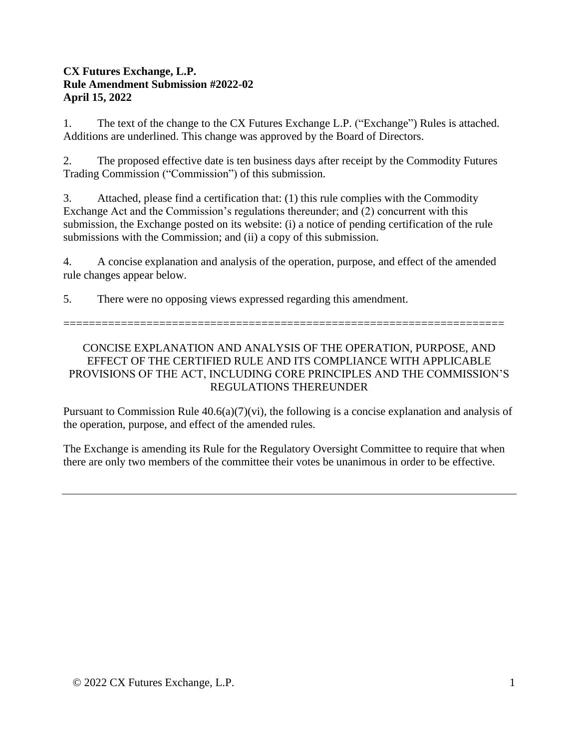### **CX Futures Exchange, L.P. Rule Amendment Submission #2022-02 April 15, 2022**

1. The text of the change to the CX Futures Exchange L.P. ("Exchange") Rules is attached. Additions are underlined. This change was approved by the Board of Directors.

2. The proposed effective date is ten business days after receipt by the Commodity Futures Trading Commission ("Commission") of this submission.

3. Attached, please find a certification that: (1) this rule complies with the Commodity Exchange Act and the Commission's regulations thereunder; and (2) concurrent with this submission, the Exchange posted on its website: (i) a notice of pending certification of the rule submissions with the Commission; and (ii) a copy of this submission.

4. A concise explanation and analysis of the operation, purpose, and effect of the amended rule changes appear below.

5. There were no opposing views expressed regarding this amendment.

=====================================================================

# CONCISE EXPLANATION AND ANALYSIS OF THE OPERATION, PURPOSE, AND EFFECT OF THE CERTIFIED RULE AND ITS COMPLIANCE WITH APPLICABLE PROVISIONS OF THE ACT, INCLUDING CORE PRINCIPLES AND THE COMMISSION'S REGULATIONS THEREUNDER

Pursuant to Commission Rule  $40.6(a)(7)(vi)$ , the following is a concise explanation and analysis of the operation, purpose, and effect of the amended rules.

The Exchange is amending its Rule for the Regulatory Oversight Committee to require that when there are only two members of the committee their votes be unanimous in order to be effective.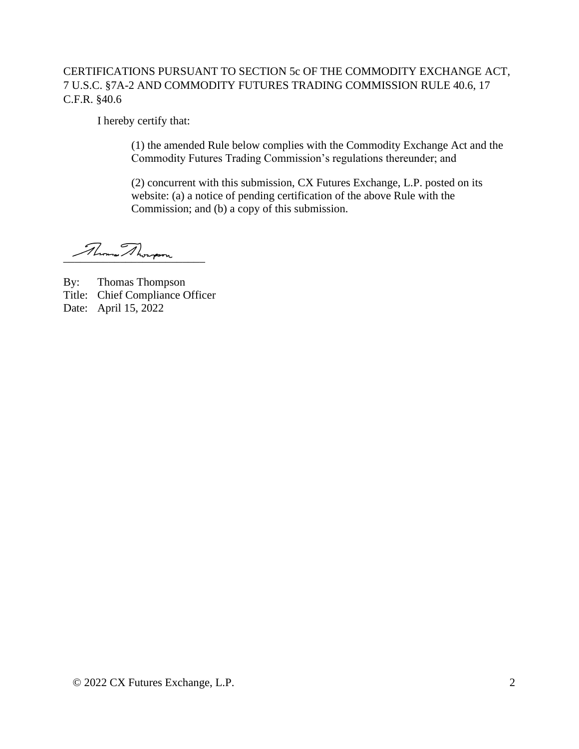# CERTIFICATIONS PURSUANT TO SECTION 5c OF THE COMMODITY EXCHANGE ACT, 7 U.S.C. §7A-2 AND COMMODITY FUTURES TRADING COMMISSION RULE 40.6, 17 C.F.R. §40.6

I hereby certify that:

(1) the amended Rule below complies with the Commodity Exchange Act and the Commodity Futures Trading Commission's regulations thereunder; and

(2) concurrent with this submission, CX Futures Exchange, L.P. posted on its website: (a) a notice of pending certification of the above Rule with the Commission; and (b) a copy of this submission.

Roman Ahongson

By: Thomas Thompson Title: Chief Compliance Officer Date: April 15, 2022